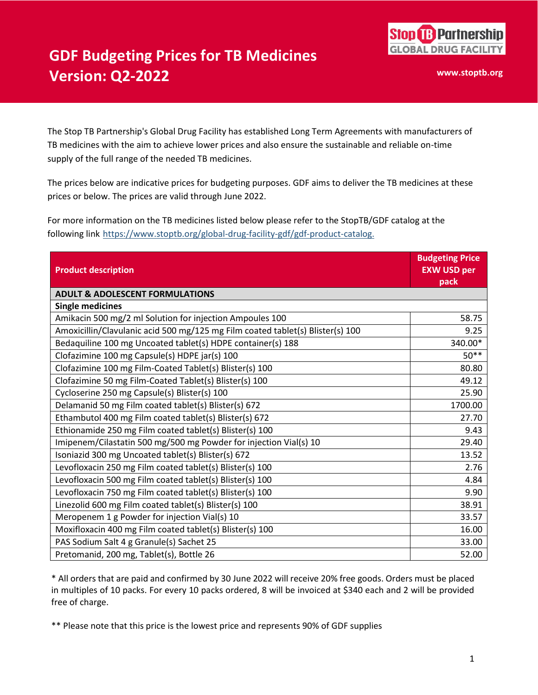

## **GDF Budgeting Prices for TB Medicines Version: Q2-2022**

**www.stoptb.org**

The Stop TB Partnership's Global Drug Facility has established Long Term Agreements with manufacturers of TB medicines with the aim to achieve lower prices and also ensure the sustainable and reliable on-time supply of the full range of the needed TB medicines.

The prices below are indicative prices for budgeting purposes. GDF aims to deliver the TB medicines at these prices or below. The prices are valid through June 2022.

For more information on the TB medicines listed below please refer to the StopTB/GDF catalog at the following link [https://www.stoptb.org/global-drug-facility-gdf/gdf-product-catalog.](https://www.stoptb.org/global-drug-facility-gdf/gdf-product-catalog)

| <b>Product description</b>                                                     | <b>Budgeting Price</b><br><b>EXW USD per</b><br>pack |  |
|--------------------------------------------------------------------------------|------------------------------------------------------|--|
| <b>ADULT &amp; ADOLESCENT FORMULATIONS</b>                                     |                                                      |  |
| <b>Single medicines</b>                                                        |                                                      |  |
| Amikacin 500 mg/2 ml Solution for injection Ampoules 100                       | 58.75                                                |  |
| Amoxicillin/Clavulanic acid 500 mg/125 mg Film coated tablet(s) Blister(s) 100 | 9.25                                                 |  |
| Bedaquiline 100 mg Uncoated tablet(s) HDPE container(s) 188                    | 340.00*                                              |  |
| Clofazimine 100 mg Capsule(s) HDPE jar(s) 100                                  | $50**$                                               |  |
| Clofazimine 100 mg Film-Coated Tablet(s) Blister(s) 100                        | 80.80                                                |  |
| Clofazimine 50 mg Film-Coated Tablet(s) Blister(s) 100                         | 49.12                                                |  |
| Cycloserine 250 mg Capsule(s) Blister(s) 100                                   | 25.90                                                |  |
| Delamanid 50 mg Film coated tablet(s) Blister(s) 672                           | 1700.00                                              |  |
| Ethambutol 400 mg Film coated tablet(s) Blister(s) 672                         | 27.70                                                |  |
| Ethionamide 250 mg Film coated tablet(s) Blister(s) 100                        | 9.43                                                 |  |
| Imipenem/Cilastatin 500 mg/500 mg Powder for injection Vial(s) 10              | 29.40                                                |  |
| Isoniazid 300 mg Uncoated tablet(s) Blister(s) 672                             | 13.52                                                |  |
| Levofloxacin 250 mg Film coated tablet(s) Blister(s) 100                       | 2.76                                                 |  |
| Levofloxacin 500 mg Film coated tablet(s) Blister(s) 100                       | 4.84                                                 |  |
| Levofloxacin 750 mg Film coated tablet(s) Blister(s) 100                       | 9.90                                                 |  |
| Linezolid 600 mg Film coated tablet(s) Blister(s) 100                          | 38.91                                                |  |
| Meropenem 1 g Powder for injection Vial(s) 10                                  | 33.57                                                |  |
| Moxifloxacin 400 mg Film coated tablet(s) Blister(s) 100                       | 16.00                                                |  |
| PAS Sodium Salt 4 g Granule(s) Sachet 25                                       | 33.00                                                |  |
| Pretomanid, 200 mg, Tablet(s), Bottle 26                                       | 52.00                                                |  |

\* All orders that are paid and confirmed by 30 June 2022 will receive 20% free goods. Orders must be placed in multiples of 10 packs. For every 10 packs ordered, 8 will be invoiced at \$340 each and 2 will be provided free of charge.

\*\* Please note that this price is the lowest price and represents 90% of GDF supplies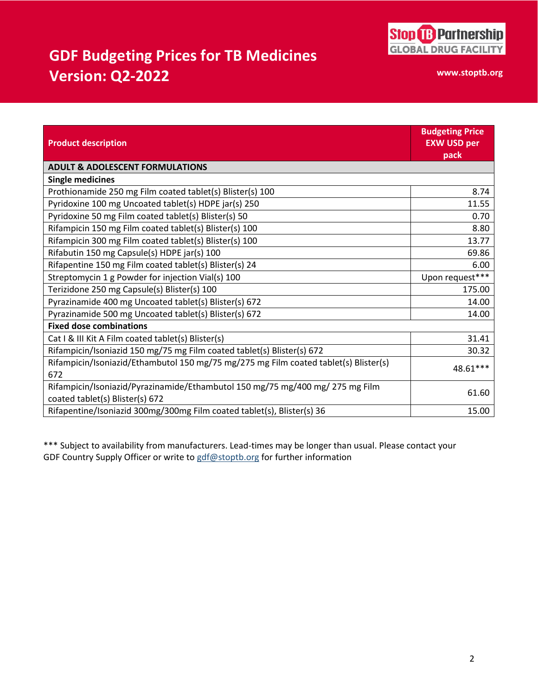

## **GDF Budgeting Prices for TB Medicines Version: Q2-2022**

**www.stoptb.org**

|                                                                                      | <b>Budgeting Price</b> |  |
|--------------------------------------------------------------------------------------|------------------------|--|
| <b>Product description</b>                                                           | <b>EXW USD per</b>     |  |
|                                                                                      | pack                   |  |
| <b>ADULT &amp; ADOLESCENT FORMULATIONS</b>                                           |                        |  |
| <b>Single medicines</b>                                                              |                        |  |
| Prothionamide 250 mg Film coated tablet(s) Blister(s) 100                            | 8.74                   |  |
| Pyridoxine 100 mg Uncoated tablet(s) HDPE jar(s) 250                                 | 11.55                  |  |
| Pyridoxine 50 mg Film coated tablet(s) Blister(s) 50                                 | 0.70                   |  |
| Rifampicin 150 mg Film coated tablet(s) Blister(s) 100                               | 8.80                   |  |
| Rifampicin 300 mg Film coated tablet(s) Blister(s) 100                               | 13.77                  |  |
| Rifabutin 150 mg Capsule(s) HDPE jar(s) 100                                          | 69.86                  |  |
| Rifapentine 150 mg Film coated tablet(s) Blister(s) 24                               | 6.00                   |  |
| Streptomycin 1 g Powder for injection Vial(s) 100                                    | Upon request***        |  |
| Terizidone 250 mg Capsule(s) Blister(s) 100                                          | 175.00                 |  |
| Pyrazinamide 400 mg Uncoated tablet(s) Blister(s) 672                                | 14.00                  |  |
| Pyrazinamide 500 mg Uncoated tablet(s) Blister(s) 672                                | 14.00                  |  |
| <b>Fixed dose combinations</b>                                                       |                        |  |
| Cat I & III Kit A Film coated tablet(s) Blister(s)                                   | 31.41                  |  |
| Rifampicin/Isoniazid 150 mg/75 mg Film coated tablet(s) Blister(s) 672               | 30.32                  |  |
| Rifampicin/Isoniazid/Ethambutol 150 mg/75 mg/275 mg Film coated tablet(s) Blister(s) | 48.61***               |  |
| 672                                                                                  |                        |  |
| Rifampicin/Isoniazid/Pyrazinamide/Ethambutol 150 mg/75 mg/400 mg/ 275 mg Film        | 61.60                  |  |
| coated tablet(s) Blister(s) 672                                                      |                        |  |
| Rifapentine/Isoniazid 300mg/300mg Film coated tablet(s), Blister(s) 36               | 15.00                  |  |

\*\*\* Subject to availability from manufacturers. Lead-times may be longer than usual. Please contact your GDF Country Supply Officer or write to  $gdf@stoptb.org$  for further information